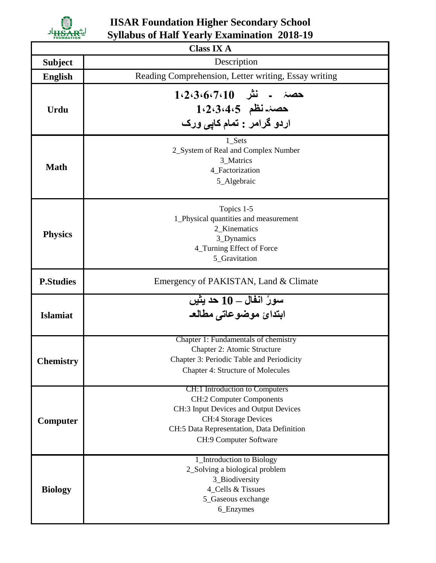

## **IISAR Foundation Higher Secondary School Syllabus of Half Yearly Examination 2018-19**

| <b>Class IX A</b> |                                                                                                                                                                                                                  |  |
|-------------------|------------------------------------------------------------------------------------------------------------------------------------------------------------------------------------------------------------------|--|
| <b>Subject</b>    | Description                                                                                                                                                                                                      |  |
| <b>English</b>    | Reading Comprehension, Letter writing, Essay writing                                                                                                                                                             |  |
| <b>Urdu</b>       | حصۂ ـ نثر 1،2،3،6،7،10<br>1.2.3.4.5 خصة نظم<br>اردو گرامر : تمام کاپی ورک                                                                                                                                        |  |
| <b>Math</b>       | 1 Sets<br>2_System of Real and Complex Number<br>3_Matrics<br>4_Factorization<br>5_Algebraic                                                                                                                     |  |
| <b>Physics</b>    | Topics 1-5<br>1_Physical quantities and measurement<br>2_Kinematics<br>3_Dynamics<br>4_Turning Effect of Force<br>5_Gravitation                                                                                  |  |
| <b>P.Studies</b>  | Emergency of PAKISTAN, Land & Climate                                                                                                                                                                            |  |
| <b>Islamiat</b>   | سورُ انفال ـــ 10 حد يثيں<br>ابتدائ موضوعاتي مطالع                                                                                                                                                               |  |
| <b>Chemistry</b>  | Chapter 1: Fundamentals of chemistry<br>Chapter 2: Atomic Structure<br>Chapter 3: Periodic Table and Periodicity<br><b>Chapter 4: Structure of Molecules</b>                                                     |  |
| Computer          | CH:1 Introduction to Computers<br><b>CH:2 Computer Components</b><br>CH:3 Input Devices and Output Devices<br><b>CH:4 Storage Devices</b><br>CH:5 Data Representation, Data Definition<br>CH:9 Computer Software |  |
| <b>Biology</b>    | 1_Introduction to Biology<br>2_Solving a biological problem<br>3_Biodiversity<br>4_Cells & Tissues<br>5_Gaseous exchange<br>6_Enzymes                                                                            |  |